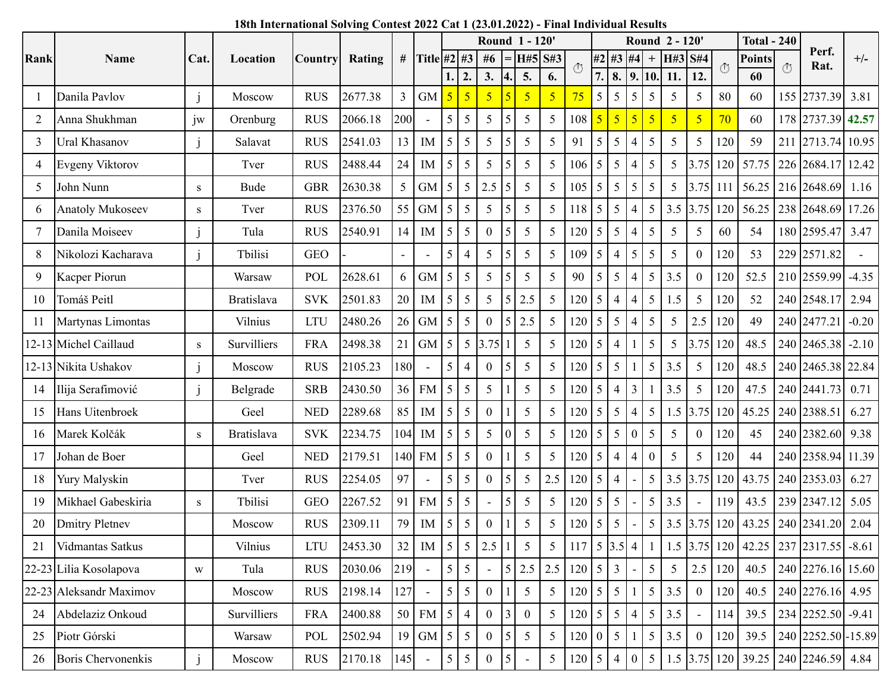|                |                           |                | Location          | Country    | Rating  | #              |                          |                 |                 |             |                 | Round 1 - 120' |                         |                                   |    |                |                | Round 2 - 120' |                 |                | <b>Total - 240</b> |        |                      |                                                                          |         |
|----------------|---------------------------|----------------|-------------------|------------|---------|----------------|--------------------------|-----------------|-----------------|-------------|-----------------|----------------|-------------------------|-----------------------------------|----|----------------|----------------|----------------|-----------------|----------------|--------------------|--------|----------------------|--------------------------------------------------------------------------|---------|
| Rank           | <b>Name</b>               | Cat.           |                   |            |         |                | Title #2 $\#3$           |                 |                 | # $6$       |                 | H#5 S#3        |                         | $\circ$                           | #2 | #3             | #4             | $^{+}$         | H#3 S#4         |                | $\circ$            | Points | $\overline{(\cdot)}$ | Perf.<br>Rat.                                                            | $+/-$   |
|                |                           |                |                   |            |         |                |                          | 1.              | 2.              | 3.          | 4.              | 5.             | 6.                      |                                   | 7. | 8.   9.        |                | 10.            | 11.             | 12.            |                    | 60     |                      |                                                                          |         |
| -1             | Danila Pavlov             | $\mathbf{1}$   | Moscow            | <b>RUS</b> | 2677.38 | $\overline{3}$ | <b>GM</b>                | $\overline{5}$  | 5               | 5           |                 | 5              | $\overline{\mathbf{5}}$ | 75                                | 5  | 5              | 5              | 5              | 5               | 5              | 80                 | 60     |                      | 155 2737.39                                                              | 3.81    |
| $\overline{2}$ | Anna Shukhman             | 1W             | Orenburg          | <b>RUS</b> | 2066.18 | 200            | $\overline{\phantom{a}}$ | 5               | 5               | 5           | 5               | 5              | 5                       | 108                               | 5  | 5              | $\overline{5}$ | $\overline{5}$ | $\overline{5}$  | $\overline{5}$ | 70                 | 60     |                      | 178 2737.39                                                              | 42.57   |
| 3              | Ural Khasanov             | j              | Salavat           | <b>RUS</b> | 2541.03 | 13             | IM                       | 5               | 5               | 5           | 5               | 5              | 5                       | 91                                | 5  | 5              | $\overline{4}$ | 5              | 5               | 5              | 120                | 59     |                      | 211 2713.74                                                              | 10.95   |
| 4              | Evgeny Viktorov           |                | Tver              | <b>RUS</b> | 2488.44 | 24             | IM                       | 5               | 5               | 5           | 5               | 5              | 5                       | 106                               | 5  | 5              | $\overline{4}$ | 5              | 5               | 3.75           | 120                | 57.75  |                      | 226 2684.17                                                              | 12.42   |
| 5              | John Nunn                 | S              | Bude              | <b>GBR</b> | 2630.38 | 5              | <b>GM</b>                | 5               | 5               | 2.5         | 5               | 5              | 5                       | 105                               | 5  | 5              | 5              | 5              | 5               | 3.75           | 111                | 56.25  |                      | 216 2648.69                                                              | 1.16    |
| 6              | <b>Anatoly Mukoseev</b>   | S              | Tver              | <b>RUS</b> | 2376.50 | 55             | <b>GM</b>                | 5               | 5               | 5           | 5               | 5              | 5                       | 118                               | 5  | 5              | $\overline{4}$ | 5              | 3.5             | 3.75           | 120                | 56.25  |                      | 238 2648.69                                                              | 17.26   |
| 7              | Danila Moiseev            | $\overline{1}$ | Tula              | <b>RUS</b> | 2540.91 | 14             | <b>IM</b>                | $5\overline{)}$ | 5               | $\Omega$    | 5               | 5              | 5                       | 120                               | 5  | 5              | $\overline{4}$ | 5              | 5               | 5              | 60                 | 54     |                      | 180 2595.47                                                              | 3.47    |
| 8              | Nikolozi Kacharava        | $\mathbf{1}$   | Tbilisi           | <b>GEO</b> |         |                |                          | 5               | $\overline{4}$  | 5           | 5               | 5              | 5                       | 109                               | 5  | 4              | 5              | 5              | 5               | $\mathbf{0}$   | 120                | 53     |                      | 229 2571.82                                                              |         |
| 9              | Kacper Piorun             |                | Warsaw            | POL        | 2628.61 | 6              | <b>GM</b>                | 5               | 5               | 5           | 5               | 5              | 5                       | 90                                | 5  | 5              | $\overline{4}$ | 5              | 3.5             | $\mathbf{0}$   | 120                | 52.5   |                      | 210 2559.99                                                              | $-4.35$ |
| 10             | Tomáš Peitl               |                | <b>Bratislava</b> | <b>SVK</b> | 2501.83 | 20             | IM                       | $5\overline{)}$ | 5               | 5           | 5               | 2.5            | 5                       | 120                               | 5  | $\overline{4}$ | 4              | 5              | 1.5             | 5              | 120                | 52     |                      | 240 2548.17                                                              | 2.94    |
| 11             | Martynas Limontas         |                | Vilnius           | <b>LTU</b> | 2480.26 | 26             | <b>GM</b>                | 5               | 5               | 0           | 5               | 2.5            | 5                       | 120                               | 5  | 5              | 4              | 5              | 5 <sup>5</sup>  | 2.5            | 120                | 49     |                      | 240 2477.21                                                              | $-0.20$ |
|                | 12-13 Michel Caillaud     | S              | Survilliers       | <b>FRA</b> | 2498.38 | 21             | <b>GM</b>                | 5               | 5               | 3.75        |                 | 5              | 5                       | 120                               | 5  | $\overline{4}$ |                | 5              | 5               | 3.75           | 120                | 48.5   |                      | 240 2465.38                                                              | $-2.10$ |
|                | 12-13 Nikita Ushakov      |                | Moscow            | <b>RUS</b> | 2105.23 | 180            |                          | 5 <sup>1</sup>  | $\overline{4}$  | $\Omega$    | 5               | 5              | 5                       | 120                               | 5  | 5              |                | 5              | 3.5             | 5              | 120                | 48.5   |                      | 240 2465.38 22.84                                                        |         |
| 14             | Ilija Serafimović         | $\mathbf{1}$   | Belgrade          | <b>SRB</b> | 2430.50 | 36             | <b>FM</b>                | 5               | 5               | 5           |                 | 5              | 5                       | 120                               | 5  | 4              | 3              |                | 3.5             | 5              | 120                | 47.5   |                      | 240 2441.73                                                              | 0.71    |
| 15             | Hans Uitenbroek           |                | Geel              | <b>NED</b> | 2289.68 | 85             | IM                       | 5               | 5               | $\Omega$    |                 | 5              | 5                       | 120                               | 5  | 5              | $\overline{4}$ | 5              | 1.5             | 3.75           | 120                | 45.25  |                      | 240 2388.51                                                              | 6.27    |
| 16             | Marek Kolčák              | S              | <b>Bratislava</b> | <b>SVK</b> | 2234.75 | 104            | IM                       | $5\overline{)}$ | 5               | 5           | $\theta$        | 5              | 5                       | 120                               | 5  | 5              | $\mathbf{0}$   | 5              | 5               | $\overline{0}$ | 120                | 45     |                      | 240 2382.60                                                              | 9.38    |
| 17             | Johan de Boer             |                | Geel              | <b>NED</b> | 2179.51 | 140            | <b>FM</b>                | 5               | 5               | $\Omega$    |                 | 5              | 5                       | 120                               | 5  | 4              | 4              | $\overline{0}$ | 5 <sup>5</sup>  | 5              | 120                | 44     |                      | 240 2358.94                                                              | 11.39   |
| 18             | Yury Malyskin             |                | Tver              | <b>RUS</b> | 2254.05 | 97             |                          | 5               | 5               |             | 5               | 5              | 2.5                     | 120                               | 5  | $\overline{4}$ |                | 5              | 3.5             | 3.75           | 120                | 43.75  |                      | 240 2353.03                                                              | 6.27    |
| 19             | Mikhael Gabeskiria        | S              | Tbilisi           | <b>GEO</b> | 2267.52 | 91             | <b>FM</b>                | $5\overline{)}$ | 5               |             | 5               | 5              | 5                       | 120                               | 5  | 5              |                | 5              | 3.5             |                | 119                | 43.5   |                      | 239 2347.12                                                              | 5.05    |
| 20             | <b>Dmitry Pletnev</b>     |                | Moscow            | <b>RUS</b> | 2309.11 | 79             | IM                       | 5               | 5               | $\Omega$    |                 | 5              | 5                       | 120                               | 5  | 5              |                | 5              | 3.5             | 3.75           | 120                | 43.25  |                      | 240 2341.20                                                              | 2.04    |
| 21             | Vidmantas Satkus          |                | Vilnius           | <b>LTU</b> | 2453.30 |                | $32$ M $5$ 5 2.5 1 5     |                 |                 |             |                 |                | 5 <sup>5</sup>          |                                   |    |                |                |                |                 |                |                    |        |                      | 117   5   3.5   4   1   1.5   3.75   120   42.25   237   2317.55   -8.61 |         |
|                | 22-23 Lilia Kosolapova    | W              | Tula              | <b>RUS</b> | 2030.06 | 219            |                          |                 | $5 \mid 5 \mid$ |             | 15 <sup>1</sup> | 2.5            |                         | $2.5$ 120 $5$ 3                   |    |                |                | 5 <sup>1</sup> | $5\overline{)}$ | 2.5            | 120                | 40.5   |                      | 240 2276.16 15.60                                                        |         |
|                | 22-23 Aleksandr Maximov   |                | Moscow            | <b>RUS</b> | 2198.14 | 127            |                          | 5 <sup>5</sup>  | $\mathfrak{S}$  | $\Omega$    |                 | 5              | 5                       | $120 \overline{\smash{\big)} }$ 5 |    | 5 <sup>5</sup> |                | 5 <sup>1</sup> | 3.5             | $\overline{0}$ | 120                | 40.5   |                      | 240 2276.16 4.95                                                         |         |
| 24             | Abdelaziz Onkoud          |                | Survilliers       | <b>FRA</b> | 2400.88 | 50             | <b>FM</b>                | 5 4             |                 | $0 \vert 3$ |                 | $\overline{0}$ | 5                       | 120 5                             |    |                | 5 4            | 5 <sup>1</sup> | 3.5             | $\blacksquare$ | 114                | 39.5   |                      | $234$ $2252.50$ -9.41                                                    |         |
| 25             | Piotr Górski              |                | Warsaw            | POL        | 2502.94 | 19             | GM $5 \mid 5$            |                 |                 | $0\vert 5$  |                 | 5              | 5                       | $120$ 0                           |    | 5 <sup>1</sup> |                |                | $5 \mid 3.5$    | $\overline{0}$ | 120                | 39.5   |                      | 240 2252.50 - 15.89                                                      |         |
| 26             | <b>Boris Chervonenkis</b> |                | Moscow            | <b>RUS</b> | 2170.18 | 145            |                          | 5 <sup>5</sup>  | 5               | 0           | 5               |                | 5                       | $120 \mid 5$                      |    | 4              | $\overline{0}$ | 5 <sup>5</sup> |                 |                |                    |        |                      | 1.5 3.75 120 39.25 240 2246.59 4.84                                      |         |

## **18th International Solving Contest 2022 Cat 1 (23.01.2022) - Final Individual Results**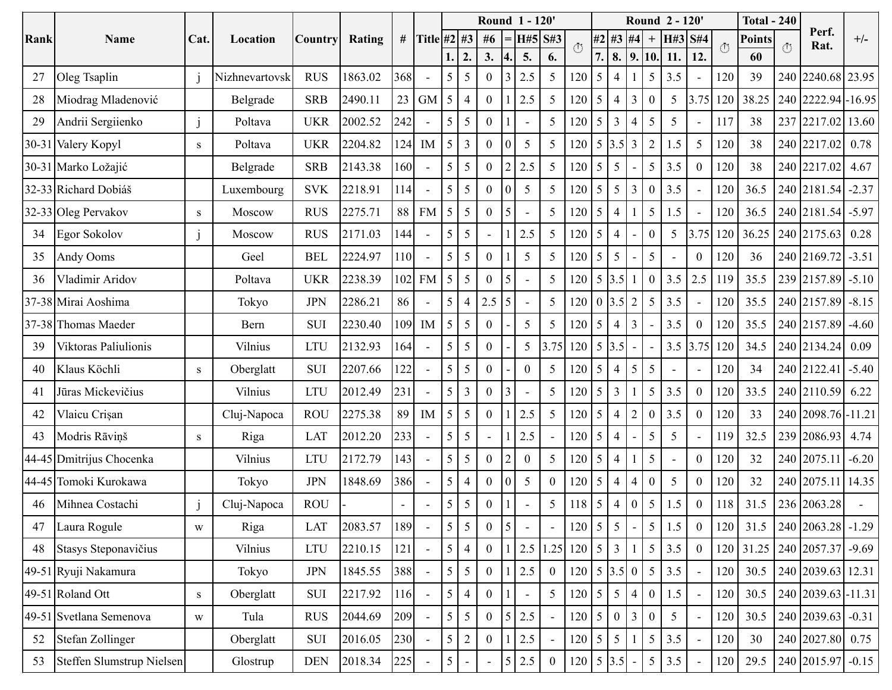|      |                           |              | Location       | <b>Country</b> |         |     |                          |                 |                         |                |                | <b>Round 1 - 120'</b>    |                          |                                   |                  |                          |                  | Round 2 - 120'   |     |                          | <b>Total - 240</b> |               |     |                    |         |
|------|---------------------------|--------------|----------------|----------------|---------|-----|--------------------------|-----------------|-------------------------|----------------|----------------|--------------------------|--------------------------|-----------------------------------|------------------|--------------------------|------------------|------------------|-----|--------------------------|--------------------|---------------|-----|--------------------|---------|
| Rank | <b>Name</b>               | Cat.         |                |                | Rating  | #   | Title #2 #3              |                 |                         | #6             |                | H#5                      | S#3                      | $\circled{0}$                     |                  | #2 #3 #4                 |                  | $\boldsymbol{+}$ | H#3 | <b>S#4</b>               | $\overline{O}$     | <b>Points</b> | (1) | Perf.<br>Rat.      | $+/-$   |
|      |                           |              |                |                |         |     |                          | 1.              | 2.                      | 3.             | 4.             | 5.                       | 6.                       |                                   | 7.               | 8.                       | $\vert$ 9.       | 10.              | 11. | 12.                      |                    | 60            |     |                    |         |
| 27   | Oleg Tsaplin              | $\mathbf{i}$ | Nizhnevartovsk | <b>RUS</b>     | 1863.02 | 368 |                          | 5               | 5                       | $\Omega$       | 3              | 2.5                      | 5                        | 120                               | 5                | 4                        |                  | 5                | 3.5 |                          | 120                | 39            | 240 | 2240.68            | 23.95   |
| 28   | Miodrag Mladenović        |              | Belgrade       | <b>SRB</b>     | 2490.11 | 23  | <b>GM</b>                | 5               | $\overline{4}$          | $\Omega$       |                | 2.5                      | 5                        | 120                               | 5                | 4                        | $\overline{3}$   | $\overline{0}$   | 5   | 3.75                     | 120                | 38.25         | 240 | 2222.94 - 16.95    |         |
| 29   | Andrii Sergiienko         |              | Poltava        | <b>UKR</b>     | 2002.52 | 242 | $\overline{a}$           | 5               | 5                       | $\Omega$       |                | $\blacksquare$           | 5                        | 120                               | 5                | 3                        | $\overline{4}$   | 5                | 5   | $\overline{\phantom{a}}$ | 117                | 38            | 237 | 2217.02            | 13.60   |
|      | 30-31 Valery Kopyl        | S            | Poltava        | <b>UKR</b>     | 2204.82 | 124 | IM                       | 5               | $\overline{\mathbf{3}}$ | $\Omega$       |                | 5                        | 5                        | 120                               | 5                | $3.5 \vert 3$            |                  | $\overline{c}$   | 1.5 | 5                        | 120                | 38            | 240 | 2217.02            | 0.78    |
|      | 30-31 Marko Ložajić       |              | Belgrade       | <b>SRB</b>     | 2143.38 | 160 |                          | 5               | 5                       | $\Omega$       | $\overline{2}$ | 2.5                      | 5                        | 120                               | 5                | 5                        |                  | 5                | 3.5 | $\mathbf{0}$             | 120                | 38            |     | 240 2217.02        | 4.67    |
|      | 32-33 Richard Dobiáš      |              | Luxembourg     | <b>SVK</b>     | 2218.91 | 114 | $\overline{\phantom{a}}$ | 5               | 5                       | $\Omega$       |                | 5                        | 5                        | 120                               | 5                | 5                        | 3                | $\theta$         | 3.5 | $\overline{\phantom{a}}$ | 120                | 36.5          |     | 240 2181.54        | $-2.37$ |
|      | 32-33 Oleg Pervakov       | S            | Moscow         | <b>RUS</b>     | 2275.71 | 88  | <b>FM</b>                | 5               | 5                       | $\Omega$       | 5              |                          | 5                        | 120                               | 5                | $\overline{\mathcal{A}}$ |                  | 5                | 1.5 | ÷,                       | 120                | 36.5          |     | 240 2181.54        | $-5.97$ |
| 34   | Egor Sokolov              | -1           | Moscow         | <b>RUS</b>     | 2171.03 | 144 |                          | 5               | 5                       |                |                | 2.5                      | 5                        | 120                               | 5                | $\overline{4}$           |                  | $\overline{0}$   | 5   | 3.75                     | 120                | 36.25         |     | 240 2175.63        | 0.28    |
| 35   | Andy Ooms                 |              | Geel           | <b>BEL</b>     | 2224.97 | 110 | $\overline{a}$           | 5               | 5                       | $\Omega$       |                | $\mathfrak{S}$           | 5                        | 120                               | 5                | 5                        |                  | 5                |     | $\boldsymbol{0}$         | 120                | 36            |     | 240 2169.72        | $-3.51$ |
| 36   | Vladimir Aridov           |              | Poltava        | <b>UKR</b>     | 2238.39 | 102 | <b>FM</b>                | 5               | 5                       | $\Omega$       | 5              | $\overline{a}$           | $\mathfrak{S}$           | 120                               | 5                | 3.5                      |                  | $\overline{0}$   | 3.5 | 2.5                      | 119                | 35.5          |     | 239 2157.89        | $-5.10$ |
|      | 37-38 Mirai Aoshima       |              | Tokyo          | <b>JPN</b>     | 2286.21 | 86  |                          | 5               | $\overline{4}$          | 2.5            | 5              | $\blacksquare$           | 5                        | 120                               | $\boldsymbol{0}$ | $3.5 \vert 2$            |                  | 5                | 3.5 | $\blacksquare$           | 120                | 35.5          |     | 240 2157.89        | $-8.15$ |
|      | 37-38 Thomas Maeder       |              | Bern           | <b>SUI</b>     | 2230.40 | 109 | IM                       | 5               | 5                       | $\Omega$       |                | 5                        | 5                        | 120                               | 5                | 4                        | 3                |                  | 3.5 | $\mathbf{0}$             | 120                | 35.5          |     | 240 2157.89        | $-4.60$ |
| 39   | Viktoras Paliulionis      |              | Vilnius        | <b>LTU</b>     | 2132.93 | 164 | ÷,                       | 5               | 5                       | $\overline{0}$ |                | 5                        | 3.75                     | 120                               | 5                | 3.5                      | $\overline{a}$   |                  | 3.5 | 3.75                     | 120                | 34.5          |     | 240 2134.24        | 0.09    |
| 40   | Klaus Köchli              | S            | Oberglatt      | <b>SUI</b>     | 2207.66 | 122 |                          | 5               | 5                       | $\Omega$       |                | $\mathbf{0}$             | 5                        | 120                               | 5                | 4                        | 5                | 5                |     |                          | 120                | 34            |     | 240 2122.4         | $-5.40$ |
| 41   | Jūras Mickevičius         |              | Vilnius        | <b>LTU</b>     | 2012.49 | 231 | $\blacksquare$           | 5               | $\overline{3}$          | $\Omega$       | 3              | $\overline{\phantom{a}}$ | 5                        | 120                               | 5                | 3                        |                  | 5                | 3.5 | $\mathbf{0}$             | 120                | 33.5          | 240 | 2110.59            | 6.22    |
| 42   | Vlaicu Crișan             |              | Cluj-Napoca    | <b>ROU</b>     | 2275.38 | 89  | IM                       | 5               | 5                       | $\overline{0}$ |                | 2.5                      | 5                        | 120                               | 5                | $\overline{\mathcal{A}}$ | $\overline{2}$   | $\boldsymbol{0}$ | 3.5 | $\boldsymbol{0}$         | 120                | 33            | 240 | 2098.76 - 11.21    |         |
| 43   | Modris Rāviņš             | S            | Riga           | <b>LAT</b>     | 2012.20 | 233 |                          | 5               | 5                       |                |                | 2.5                      | $\overline{\phantom{a}}$ | 120                               | 5                | $\overline{4}$           |                  | 5                | 5   |                          | 119                | 32.5          | 239 | 2086.93            | 4.74    |
|      | 44-45 Dmitrijus Chocenka  |              | Vilnius        | <b>LTU</b>     | 2172.79 | 143 | ÷,                       | 5               | 5                       | $\Omega$       | $\overline{c}$ | $\boldsymbol{0}$         | 5                        | 120                               | 5                | 4                        |                  | 5                |     | $\mathbf{0}$             | 120                | 32            | 240 | 2075.11            | $-6.20$ |
|      | 44-45 Tomoki Kurokawa     |              | Tokyo          | <b>JPN</b>     | 1848.69 | 386 | Ĭ.                       | 5               | $\overline{4}$          | $\theta$       |                | 5                        | $\mathbf{0}$             | 120                               | 5                | 4                        | $\overline{4}$   | $\overline{0}$   | 5   | $\boldsymbol{0}$         | 120                | 32            | 240 | 2075.11            | 14.35   |
| 46   | Mihnea Costachi           | $\mathbf{i}$ | Cluj-Napoca    | <b>ROU</b>     |         |     |                          | 5               | 5                       | $\theta$       |                |                          | 5                        | 118                               | 5                | 4                        | $\boldsymbol{0}$ | 5                | 1.5 | $\theta$                 | 118                | 31.5          | 236 | 2063.28            |         |
| 47   | Laura Rogule              | W            | Riga           | <b>LAT</b>     | 2083.57 | 189 |                          | $\mathfrak{H}$  | $\overline{5}$          | $\overline{0}$ | $\vert$ 5      |                          |                          | $120 \mid 5$                      |                  | 5                        |                  | 5 <sup>5</sup>   | 1.5 | $\boldsymbol{0}$         | 120                | 31.5          |     | 240 2063.28 -1.29  |         |
| 48   | Stasys Steponavičius      |              | Vilnius        | <b>LTU</b>     | 2210.15 | 121 |                          | $5\overline{)}$ | $\overline{4}$          | $\overline{0}$ |                | 2.5                      | 1.25                     | $120 \mid 5$                      |                  | 3 <sup>1</sup>           |                  | 5 <sup>1</sup>   | 3.5 | $\overline{0}$           | 120                | 31.25         |     | 240 2057.37 -9.69  |         |
|      | 49-51 Ryuji Nakamura      |              | Tokyo          | <b>JPN</b>     | 1845.55 | 388 |                          | 5               | $\overline{5}$          | $\overline{0}$ |                | 2.5                      | $\overline{0}$           | $120 \mid 5 \mid 3.5 \mid 0 \mid$ |                  |                          |                  | 5 <sup>5</sup>   | 3.5 | $\blacksquare$           | 120                | 30.5          |     | 240 2039.63 12.31  |         |
|      | 49-51 Roland Ott          | S            | Oberglatt      | <b>SUI</b>     | 2217.92 | 116 |                          | 5               | $\overline{4}$          | $\Omega$       |                |                          | 5                        | 120                               | 5                | 5                        | $\overline{4}$   | $\theta$         | 1.5 |                          | 120                | 30.5          |     | 240 2039.63 -11.31 |         |
|      | 49-51 Svetlana Semenova   | W            | Tula           | <b>RUS</b>     | 2044.69 | 209 |                          | $5\overline{)}$ | 5                       | $\overline{0}$ | $\vert$ 5      | 2.5                      | $\blacksquare$           | $120 \overline{\smash{\big)} }$ 5 |                  | $0 \mid 3$               |                  | $\overline{0}$   | 5   | $\blacksquare$           | 120                | 30.5          |     | 240 2039.63 -0.31  |         |
| 52   | Stefan Zollinger          |              | Oberglatt      | <b>SUI</b>     | 2016.05 | 230 |                          | 5               | $\overline{2}$          | $\overline{0}$ |                | 2.5                      |                          | $120 \overline{\smash{\big)} }$ 5 |                  | 5 <sup>1</sup>           |                  | 5 <sup>5</sup>   | 3.5 | $\overline{\phantom{a}}$ | 120                | 30            |     | 240 2027.80        | 0.75    |
| 53   | Steffen Slumstrup Nielsen |              | Glostrup       | <b>DEN</b>     | 2018.34 | 225 |                          | 5               |                         |                | 5 <sup>5</sup> | 2.5                      | $\mathbf{0}$             | $120 \mid 5 \mid 3.5$             |                  |                          |                  | 5 <sup>5</sup>   | 3.5 |                          | 120                | 29.5          |     | 240 2015.97 -0.15  |         |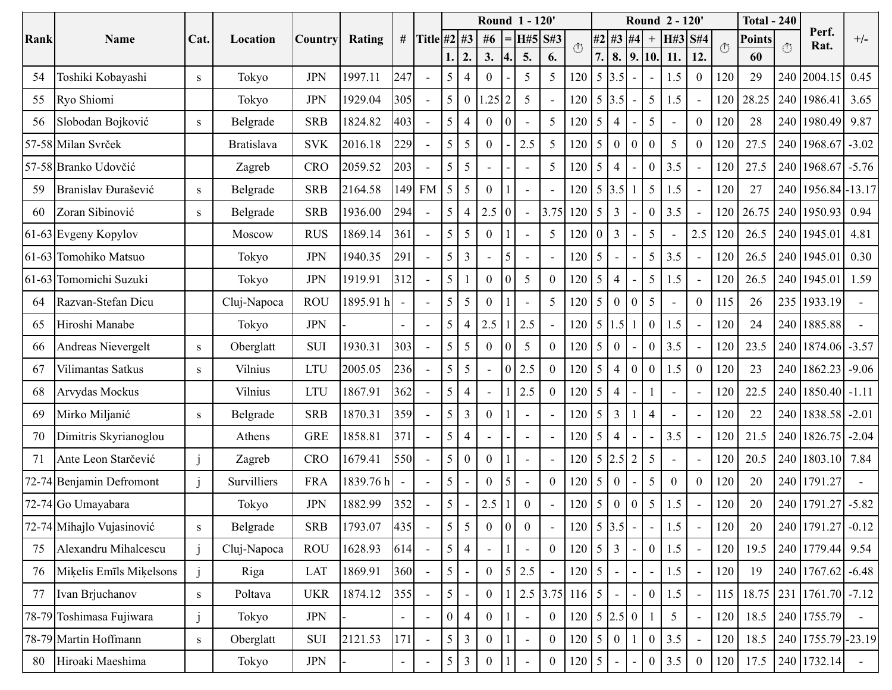|      |                           |                          | Location          | <b>Country</b> | <b>Rating</b> |                          |                          |                |                |                |                  | Round 1 - 120'           |                          |                                   |                 |                  |                              |                  | Round 2 - 120' |                          |         | <b>Total - 240</b> |     |                     |                |
|------|---------------------------|--------------------------|-------------------|----------------|---------------|--------------------------|--------------------------|----------------|----------------|----------------|------------------|--------------------------|--------------------------|-----------------------------------|-----------------|------------------|------------------------------|------------------|----------------|--------------------------|---------|--------------------|-----|---------------------|----------------|
| Rank | Name                      | Cat                      |                   |                |               | #                        | Title #2 #3              |                |                | #6             |                  | H#5                      | S#3                      | $\circlearrowleft$                |                 | #2 #3            | #4                           | $\boldsymbol{+}$ | H#3            | <b>S#4</b>               | $\circ$ | <b>Points</b>      | (1) | Perf.<br>Rat.       | $+/-$          |
|      |                           |                          |                   |                |               |                          |                          | 1.             | 2.             | 3.             | 4.               | 5.                       | 6.                       |                                   | 7.              | 8.               | 9.                           | 10.              | 11.            | 12.                      |         | 60                 |     |                     |                |
| 54   | Toshiki Kobayashi         | S                        | Tokyo             | <b>JPN</b>     | 1997.11       | 247                      | $\overline{\phantom{a}}$ | 5              | $\overline{4}$ | $\Omega$       |                  | 5                        | 5                        | 120                               | 5               | 3.5              |                              |                  | 1.5            | $\boldsymbol{0}$         | 120     | 29                 | 240 | 2004.15             | 0.45           |
| 55   | Ryo Shiomi                |                          | Tokyo             | <b>JPN</b>     | 1929.04       | 305                      | $\overline{\phantom{a}}$ | 5              | $\overline{0}$ | .25 2          |                  | 5                        | $\sim$                   | 120                               | 5               | 3.5              |                              | 5                | 1.5            | L.                       | 120     | 28.25              | 240 | 1986.41             | 3.65           |
| 56   | Slobodan Bojković         | ${\bf S}$                | Belgrade          | <b>SRB</b>     | 1824.82       | 403                      | $\overline{\phantom{a}}$ | 5              | 4              | $\Omega$       | $\overline{0}$   | $\sim$                   | 5                        | 120                               | 5               | 4                |                              | 5                |                | $\boldsymbol{0}$         | 120     | 28                 | 240 | 1980.49             | 9.87           |
|      | 57-58 Milan Svrček        |                          | <b>Bratislava</b> | <b>SVK</b>     | 2016.18       | 229                      | $\sim$                   | 5              | 5              | $\overline{0}$ |                  | 2.5                      | 5                        | 120                               | 5               | $\boldsymbol{0}$ | $\boldsymbol{0}$             | $\boldsymbol{0}$ | 5              | $\boldsymbol{0}$         | 120     | 27.5               | 240 | 1968.67             | $-3.02$        |
|      | 57-58 Branko Udovčić      |                          | Zagreb            | <b>CRO</b>     | 2059.52       | 203                      |                          | 5              | 5              |                |                  | $\blacksquare$           | 5                        | 120                               | $\overline{5}$  | 4                |                              | $\boldsymbol{0}$ | 3.5            |                          | 120     | 27.5               | 240 | 1968.67             | $-5.76$        |
| 59   | Branislav Đurašević       | S                        | Belgrade          | <b>SRB</b>     | 2164.58       | 149                      | <b>FM</b>                | 5              | 5              | $\Omega$       |                  | $\sim$                   | $\overline{\phantom{a}}$ | 120                               | 5               | 3.5              |                              | 5                | 1.5            | $\overline{\phantom{a}}$ | 120     | 27                 | 240 | 1956.84 - 13.17     |                |
| 60   | Zoran Sibinović           | S                        | Belgrade          | <b>SRB</b>     | 1936.00       | 294                      | $\overline{\phantom{a}}$ | 5              | $\overline{4}$ | 2.5 0          |                  |                          | 3.75                     | 120                               | 5               | 3                |                              | $\boldsymbol{0}$ | 3.5            | $\overline{a}$           | 120     | 26.75              | 240 | 1950.93             | 0.94           |
|      | 61-63 Evgeny Kopylov      |                          | Moscow            | <b>RUS</b>     | 1869.14       | 361                      | $\overline{\phantom{a}}$ | 5              | 5              | $\Omega$       |                  | $\sim$                   | 5                        | 20                                | $\theta$        | 3                |                              | 5                |                | 2.5                      | 120     | 26.5               | 240 | 1945.01             | 4.81           |
|      | 61-63 Tomohiko Matsuo     |                          | Tokyo             | <b>JPN</b>     | 1940.35       | 291                      |                          | 5              | 3              |                | 5                | $\overline{\phantom{a}}$ | $\overline{\phantom{a}}$ | 120                               | $5\overline{)}$ |                  |                              | 5                | 3.5            | $\blacksquare$           | 120     | 26.5               | 240 | 1945.01             | 0.30           |
|      | 61-63 Tomomichi Suzuki    |                          | Tokyo             | <b>JPN</b>     | 1919.91       | 312                      | $\overline{a}$           | 5              |                | $\overline{0}$ | $\theta$         | 5                        | $\mathbf{0}$             | 120                               | 5               | 4                |                              | 5                | 1.5            | $\overline{a}$           | 120     | 26.5               | 240 | 1945.01             | 1.59           |
| 64   | Razvan-Stefan Dicu        |                          | Cluj-Napoca       | <b>ROU</b>     | 1895.91 h     | $\blacksquare$           |                          | $\overline{5}$ | 5              | $\Omega$       |                  | $\sim$                   | 5                        | 120                               | 5               | $\overline{0}$   | $\mathbf{0}$                 | 5                |                | $\overline{0}$           | 115     | 26                 | 235 | 1933.19             |                |
| 65   | Hiroshi Manabe            |                          | Tokyo             | <b>JPN</b>     |               | $\blacksquare$           | $\overline{a}$           | 5              | 4              | 2.5            |                  | 2.5                      | $\overline{\phantom{a}}$ | 120                               | 5               | .5 <sub>1</sub>  |                              | $\boldsymbol{0}$ | 1.5            | $\overline{a}$           | 120     | 24                 | 240 | 1885.88             | $\overline{a}$ |
| 66   | Andreas Nievergelt        | S                        | Oberglatt         | <b>SUI</b>     | 1930.31       | 303                      | ÷,                       | 5              | 5              | $\overline{0}$ | 0                | 5                        | $\boldsymbol{0}$         | 120                               | 5               | $\boldsymbol{0}$ |                              | $\boldsymbol{0}$ | 3.5            | $\overline{a}$           | 120     | 23.5               | 240 | 1874.06             | $-3.57$        |
| 67   | Vilimantas Satkus         | S                        | Vilnius           | <b>LTU</b>     | 2005.05       | 236                      | $\overline{\phantom{a}}$ | 5              | 5              |                | $\overline{0}$   | 2.5                      | $\overline{0}$           | 120                               | 5               | 4                | $\boldsymbol{0}$             | $\boldsymbol{0}$ | 1.5            | $\theta$                 | 120     | 23                 | 240 | 1862.23             | $-9.06$        |
| 68   | Arvydas Mockus            |                          | Vilnius           | <b>LTU</b>     | 1867.91       | 362                      | ÷,                       | 5              | 4              |                |                  | 2.5                      | $\mathbf{0}$             | 120                               | 5               | 4                |                              |                  |                | $\blacksquare$           | 120     | 22.5               | 240 | 1850.40             | $-1.11$        |
| 69   | Mirko Miljanić            | S                        | Belgrade          | <b>SRB</b>     | 1870.31       | 359                      | $\overline{\phantom{a}}$ | 5              | 3              | $\overline{0}$ |                  |                          | $\overline{a}$           | 120                               | 5               | 3                |                              | $\overline{4}$   |                | $\overline{a}$           | 120     | 22                 | 240 | 1838.58             | $-2.01$        |
| 70   | Dimitris Skyrianoglou     |                          | Athens            | <b>GRE</b>     | 1858.81       | 371                      |                          | 5              | $\overline{4}$ |                |                  | $\overline{a}$           |                          | 120                               | 5               | 4                |                              |                  | 3.5            |                          | 120     | 21.5               | 240 | 1826.75             | $-2.04$        |
| 71   | Ante Leon Starčević       | $\mathbf{J}$             | Zagreb            | <b>CRO</b>     | 1679.41       | 550                      | ÷,                       | 5              | $\theta$       | $\Omega$       |                  | $\overline{\phantom{a}}$ | $\overline{\phantom{a}}$ | 120                               | $5\overline{)}$ | 2.5              | $\overline{2}$               | $\mathfrak s$    |                | $\overline{\phantom{a}}$ | 120     | 20.5               | 240 | 1803.10             | 7.84           |
|      | 72-74 Benjamin Defromont  | $\overline{1}$           | Survilliers       | <b>FRA</b>     | 1839.76 h     | $\overline{\phantom{a}}$ | $\overline{a}$           | 5              |                | $\Omega$       | 5                | $\overline{\phantom{a}}$ | $\boldsymbol{0}$         | 120                               | $5\overline{)}$ | 0                |                              | 5                | $\overline{0}$ | $\mathbf{0}$             | 120     | 20                 | 240 | 1791.27             |                |
|      | 72-74 Go Umayabara        |                          | Tokyo             | <b>JPN</b>     | 1882.99       | 352                      |                          | 5 <sup>5</sup> |                | 2.5            |                  | $\boldsymbol{0}$         |                          | 120                               | 5               | 0                | $\boldsymbol{0}$             | 5                | 1.5            |                          | 120     | 20                 |     | 240 1791.27         | $-5.82$        |
|      | 72-74 Mihajlo Vujasinović | ${\bf S}$                | Belgrade          | <b>SRB</b>     | 1793.07       | 435                      |                          | 5 <sup>1</sup> | 5              | $\theta$       | $\boldsymbol{0}$ | $\boldsymbol{0}$         | $\overline{a}$           | $120 \mid 5 \mid 3.5$             |                 |                  | $\qquad \qquad \blacksquare$ |                  | 1.5            |                          | 120     | 20                 |     | 240 1791.27         | $-0.12$        |
| 75   | Alexandru Mihalcescu      | $\overline{\phantom{a}}$ | Cluj-Napoca       | <b>ROU</b>     | 1628.93       | 614                      |                          | 5 <sup>1</sup> | $\overline{4}$ |                |                  | $\blacksquare$           | $\boldsymbol{0}$         | $120 \overline{\smash{\big)} }$ 5 |                 | $\mathfrak{Z}$   |                              | $\overline{0}$   | 1.5            | $\blacksquare$           | 120     | 19.5               |     | 240 1779.44         | 9.54           |
| 76   | Miķelis Emīls Miķelsons   |                          | Riga              | LAT            | 1869.91       | 360                      |                          | 5 <sup>1</sup> |                | $\overline{0}$ | $\vert$ 5        | 2.5                      |                          | $120 \mid 5$                      |                 |                  |                              |                  | 1.5            |                          | 120     | 19                 |     | 240 1767.62 -6.48   |                |
| 77   | Ivan Brjuchanov           | S                        | Poltava           | <b>UKR</b>     | 1874.12       | 355                      |                          | 5 <sup>1</sup> |                | $\overline{0}$ |                  | 2.5                      | 3.75                     | $116 \overline{\smash{\big)} }$ 5 |                 |                  |                              | $\boldsymbol{0}$ | 1.5            |                          | 115     | 18.75              |     | 231 1761.70 -7.12   |                |
|      | 78-79 Toshimasa Fujiwara  | $\mathbf{J}$             | Tokyo             | <b>JPN</b>     |               | $\blacksquare$           |                          | $\mathbf{0}$   | $\overline{4}$ | $\overline{0}$ |                  | $\blacksquare$           | $\mathbf{0}$             | $120 \mid 5 \mid 2.5 \mid 0$      |                 |                  |                              |                  | 5 <sup>5</sup> | $\blacksquare$           | 120     | 18.5               |     | 240 1755.79         | $\omega$       |
|      | 78-79 Martin Hoffmann     | S                        | Oberglatt         | SUI            | 2121.53       | 171                      |                          | 5 <sup>1</sup> | $\overline{3}$ | $\overline{0}$ |                  |                          | $\overline{0}$           | $120 \mid 5$                      |                 | $\overline{0}$   |                              | 0 <sup>1</sup>   | 3.5            | $\blacksquare$           | 120     | 18.5               |     | 240 1755.79 - 23.19 |                |
| 80   | Hiroaki Maeshima          |                          | Tokyo             | <b>JPN</b>     |               | $\overline{\phantom{a}}$ |                          | 5 <sup>1</sup> | $\overline{3}$ | $\overline{0}$ |                  |                          | $\boldsymbol{0}$         | 120 5                             |                 |                  |                              | $\overline{0}$   | 3.5            | $\overline{0}$           | 120     | 17.5               |     | 240 1732.14         |                |